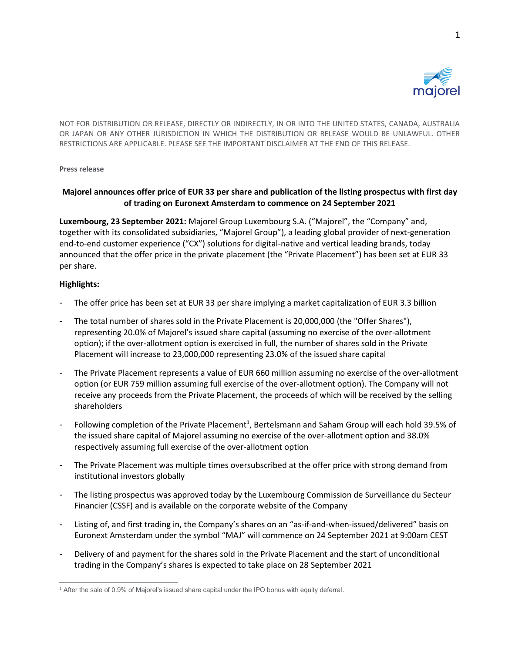

NOT FOR DISTRIBUTION OR RELEASE, DIRECTLY OR INDIRECTLY, IN OR INTO THE UNITED STATES, CANADA, AUSTRALIA OR JAPAN OR ANY OTHER JURISDICTION IN WHICH THE DISTRIBUTION OR RELEASE WOULD BE UNLAWFUL. OTHER RESTRICTIONS ARE APPLICABLE. PLEASE SEE THE IMPORTANT DISCLAIMER AT THE END OF THIS RELEASE.

## **Press release**

# **Majorel announces offer price of EUR 33 per share and publication of the listing prospectus with first day of trading on Euronext Amsterdam to commence on 24 September 2021**

**Luxembourg, 23 September 2021:** Majorel Group Luxembourg S.A. ("Majorel", the "Company" and, together with its consolidated subsidiaries, "Majorel Group"), a leading global provider of next-generation end-to-end customer experience ("CX") solutions for digital-native and vertical leading brands, today announced that the offer price in the private placement (the "Private Placement") has been set at EUR 33 per share.

# **Highlights:**

- The offer price has been set at EUR 33 per share implying a market capitalization of EUR 3.3 billion
- The total number of shares sold in the Private Placement is 20,000,000 (the "Offer Shares"), representing 20.0% of Majorel's issued share capital (assuming no exercise of the over-allotment option); if the over-allotment option is exercised in full, the number of shares sold in the Private Placement will increase to 23,000,000 representing 23.0% of the issued share capital
- The Private Placement represents a value of EUR 660 million assuming no exercise of the over-allotment option (or EUR 759 million assuming full exercise of the over-allotment option). The Company will not receive any proceeds from the Private Placement, the proceeds of which will be received by the selling shareholders
- Following completion of the Private Placement<sup>1</sup>, Bertelsmann and Saham Group will each hold 39.5% of the issued share capital of Majorel assuming no exercise of the over-allotment option and 38.0% respectively assuming full exercise of the over-allotment option
- The Private Placement was multiple times oversubscribed at the offer price with strong demand from institutional investors globally
- The listing prospectus was approved today by the Luxembourg Commission de Surveillance du Secteur Financier (CSSF) and is available on the corporate website of the Company
- Listing of, and first trading in, the Company's shares on an "as-if-and-when-issued/delivered" basis on Euronext Amsterdam under the symbol "MAJ" will commence on 24 September 2021 at 9:00am CEST
- Delivery of and payment for the shares sold in the Private Placement and the start of unconditional trading in the Company's shares is expected to take place on 28 September 2021

<sup>&</sup>lt;sup>1</sup> After the sale of 0.9% of Majorel's issued share capital under the IPO bonus with equity deferral.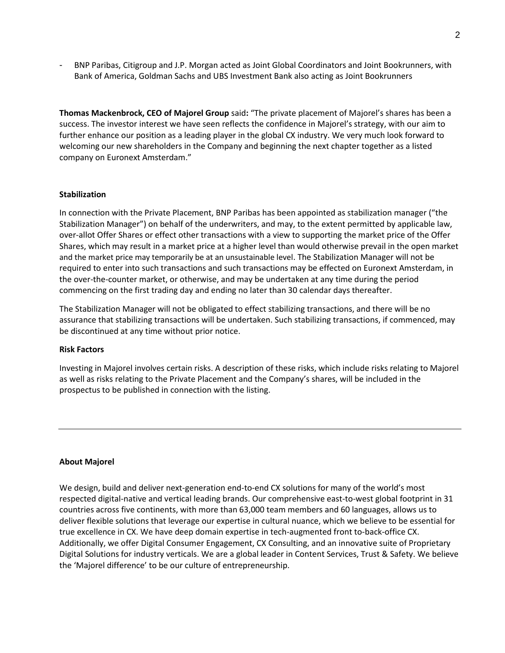- BNP Paribas, Citigroup and J.P. Morgan acted as Joint Global Coordinators and Joint Bookrunners, with Bank of America, Goldman Sachs and UBS Investment Bank also acting as Joint Bookrunners

**Thomas Mackenbrock, CEO of Majorel Group** said**:** "The private placement of Majorel's shares has been a success. The investor interest we have seen reflects the confidence in Majorel's strategy, with our aim to further enhance our position as a leading player in the global CX industry. We very much look forward to welcoming our new shareholders in the Company and beginning the next chapter together as a listed company on Euronext Amsterdam."

## **Stabilization**

In connection with the Private Placement, BNP Paribas has been appointed as stabilization manager ("the Stabilization Manager") on behalf of the underwriters, and may, to the extent permitted by applicable law, over-allot Offer Shares or effect other transactions with a view to supporting the market price of the Offer Shares, which may result in a market price at a higher level than would otherwise prevail in the open market and the market price may temporarily be at an unsustainable level. The Stabilization Manager will not be required to enter into such transactions and such transactions may be effected on Euronext Amsterdam, in the over-the-counter market, or otherwise, and may be undertaken at any time during the period commencing on the first trading day and ending no later than 30 calendar days thereafter.

The Stabilization Manager will not be obligated to effect stabilizing transactions, and there will be no assurance that stabilizing transactions will be undertaken. Such stabilizing transactions, if commenced, may be discontinued at any time without prior notice.

## **Risk Factors**

Investing in Majorel involves certain risks. A description of these risks, which include risks relating to Majorel as well as risks relating to the Private Placement and the Company's shares, will be included in the prospectus to be published in connection with the listing.

## **About Majorel**

We design, build and deliver next-generation end-to-end CX solutions for many of the world's most respected digital-native and vertical leading brands. Our comprehensive east-to-west global footprint in 31 countries across five continents, with more than 63,000 team members and 60 languages, allows us to deliver flexible solutions that leverage our expertise in cultural nuance, which we believe to be essential for true excellence in CX. We have deep domain expertise in tech-augmented front to-back-office CX. Additionally, we offer Digital Consumer Engagement, CX Consulting, and an innovative suite of Proprietary Digital Solutions for industry verticals. We are a global leader in Content Services, Trust & Safety. We believe the 'Majorel difference' to be our culture of entrepreneurship.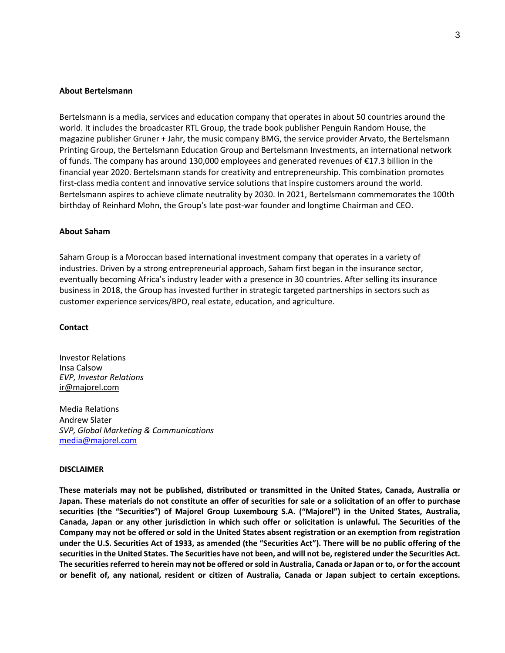#### **About Bertelsmann**

Bertelsmann is a media, services and education company that operates in about 50 countries around the world. It includes the broadcaster RTL Group, the trade book publisher Penguin Random House, the magazine publisher Gruner + Jahr, the music company BMG, the service provider Arvato, the Bertelsmann Printing Group, the Bertelsmann Education Group and Bertelsmann Investments, an international network of funds. The company has around 130,000 employees and generated revenues of €17.3 billion in the financial year 2020. Bertelsmann stands for creativity and entrepreneurship. This combination promotes first-class media content and innovative service solutions that inspire customers around the world. Bertelsmann aspires to achieve climate neutrality by 2030. In 2021, Bertelsmann commemorates the 100th birthday of Reinhard Mohn, the Group's late post-war founder and longtime Chairman and CEO.

#### **About Saham**

Saham Group is a Moroccan based international investment company that operates in a variety of industries. Driven by a strong entrepreneurial approach, Saham first began in the insurance sector, eventually becoming Africa's industry leader with a presence in 30 countries. After selling its insurance business in 2018, the Group has invested further in strategic targeted partnerships in sectors such as customer experience services/BPO, real estate, education, and agriculture.

#### **Contact**

Investor Relations Insa Calsow *EVP, Investor Relations*  [ir@majorel.com](mailto:insa.calsow@majorel.com)

Media Relations Andrew Slater *SVP, Global Marketing & Communications* [media@majorel.com](mailto:media@majorel.com)

#### **DISCLAIMER**

**These materials may not be published, distributed or transmitted in the United States, Canada, Australia or** Japan. These materials do not constitute an offer of securities for sale or a solicitation of an offer to purchase **securities (the "Securities") of Majorel Group Luxembourg S.A. ("Majorel") in the United States, Australia,** Canada, Japan or any other jurisdiction in which such offer or solicitation is unlawful. The Securities of the Company may not be offered or sold in the United States absent registration or an exemption from registration under the U.S. Securities Act of 1933, as amended (the "Securities Act"). There will be no public offering of the securities in the United States. The Securities have not been, and will not be, registered under the Securities Act. The securities referred to herein may not be offered or sold in Australia, Canada or Japan or to, or for the account or benefit of, any national, resident or citizen of Australia, Canada or Japan subject to certain exceptions.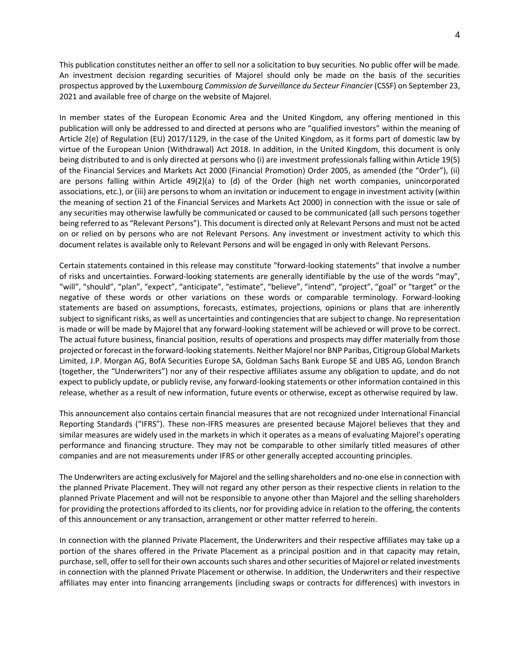This publication constitutes neither an offer to sell nor a solicitation to buy securities. No public offer will be made. An investment decision regarding securities of Majorel should only be made on the basis of the securities prospectus approved by the Luxembourg *Commission de Surveillance du Secteur Financier* (CSSF) on September 23, 2021 and available free of charge on the website of Majorel.

In member states of the European Economic Area and the United Kingdom, any offering mentioned in this publication will only be addressed to and directed at persons who are "qualified investors" within the meaning of Article 2(e) of Regulation (EU) 2017/1129, in the case of the United Kingdom, as it forms part of domestic law by virtue of the European Union (Withdrawal) Act 2018. In addition, in the United Kingdom, this document is only being distributed to and is only directed at persons who (i) are investment professionals falling within Article 19(5) of the Financial Services and Markets Act 2000 (Financial Promotion) Order 2005, as amended (the "Order"), (ii) are persons falling within Article 49(2)(a) to (d) of the Order (high net worth companies, unincorporated associations, etc.), or (iii) are persons to whom an invitation or inducement to engage in investment activity (within the meaning of section 21 of the Financial Services and Markets Act 2000) in connection with the issue or sale of any securities may otherwise lawfully be communicated or caused to be communicated (all such persons together being referred to as "Relevant Persons"). This document is directed only at Relevant Persons and must not be acted on or relied on by persons who are not Relevant Persons. Any investment or investment activity to which this document relates is available only to Relevant Persons and will be engaged in only with Relevant Persons.

Certain statements contained in this release may constitute "forward-looking statements" that involve a number of risks and uncertainties. Forward-looking statements are generally identifiable by the use of the words "may", "will", "should", "plan", "expect", "anticipate", "estimate", "believe", "intend", "project", "goal" or "target" or the negative of these words or other variations on these words or comparable terminology. Forward-looking statements are based on assumptions, forecasts, estimates, projections, opinions or plans that are inherently subject to significant risks, as well as uncertainties and contingencies that are subject to change. No representation is made or will be made by Majorel that any forward-looking statement will be achieved or will prove to be correct. The actual future business, financial position, results of operations and prospects may differ materially from those projected or forecast in the forward-looking statements. Neither Majorel nor BNP Paribas, Citigroup Global Markets Limited, J.P. Morgan AG, BofA Securities Europe SA, Goldman Sachs Bank Europe SE and UBS AG, London Branch (together, the "Underwriters") nor any of their respective affiliates assume any obligation to update, and do not expect to publicly update, or publicly revise, any forward-looking statements or other information contained in this release, whether as a result of new information, future events or otherwise, except as otherwise required by law.

This announcement also contains certain financial measures that are not recognized under International Financial Reporting Standards ("IFRS"). These non-IFRS measures are presented because Majorel believes that they and similar measures are widely used in the markets in which it operates as a means of evaluating Majorel's operating performance and financing structure. They may not be comparable to other similarly titled measures of other companies and are not measurements under IFRS or other generally accepted accounting principles.

The Underwriters are acting exclusively for Majorel and the selling shareholders and no-one else in connection with the planned Private Placement. They will not regard any other person as their respective clients in relation to the planned Private Placement and will not be responsible to anyone other than Majorel and the selling shareholders for providing the protections afforded to its clients, nor for providing advice in relation to the offering, the contents of this announcement or any transaction, arrangement or other matter referred to herein.

In connection with the planned Private Placement, the Underwriters and their respective affiliates may take up a portion of the shares offered in the Private Placement as a principal position and in that capacity may retain, purchase, sell, offer to sell for their own accounts such shares and other securities of Majorel or related investments in connection with the planned Private Placement or otherwise. In addition, the Underwriters and their respective affiliates may enter into financing arrangements (including swaps or contracts for differences) with investors in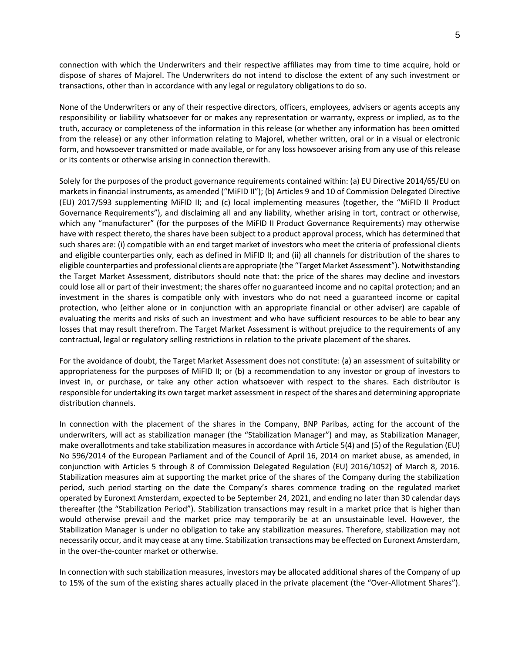connection with which the Underwriters and their respective affiliates may from time to time acquire, hold or dispose of shares of Majorel. The Underwriters do not intend to disclose the extent of any such investment or transactions, other than in accordance with any legal or regulatory obligations to do so.

None of the Underwriters or any of their respective directors, officers, employees, advisers or agents accepts any responsibility or liability whatsoever for or makes any representation or warranty, express or implied, as to the truth, accuracy or completeness of the information in this release (or whether any information has been omitted from the release) or any other information relating to Majorel, whether written, oral or in a visual or electronic form, and howsoever transmitted or made available, or for any loss howsoever arising from any use of this release or its contents or otherwise arising in connection therewith.

Solely for the purposes of the product governance requirements contained within: (a) EU Directive 2014/65/EU on markets in financial instruments, as amended ("MiFID II"); (b) Articles 9 and 10 of Commission Delegated Directive (EU) 2017/593 supplementing MiFID II; and (c) local implementing measures (together, the "MiFID II Product Governance Requirements"), and disclaiming all and any liability, whether arising in tort, contract or otherwise, which any "manufacturer" (for the purposes of the MiFID II Product Governance Requirements) may otherwise have with respect thereto, the shares have been subject to a product approval process, which has determined that such shares are: (i) compatible with an end target market of investors who meet the criteria of professional clients and eligible counterparties only, each as defined in MiFID II; and (ii) all channels for distribution of the shares to eligible counterparties and professional clients are appropriate (the "Target Market Assessment"). Notwithstanding the Target Market Assessment, distributors should note that: the price of the shares may decline and investors could lose all or part of their investment; the shares offer no guaranteed income and no capital protection; and an investment in the shares is compatible only with investors who do not need a guaranteed income or capital protection, who (either alone or in conjunction with an appropriate financial or other adviser) are capable of evaluating the merits and risks of such an investment and who have sufficient resources to be able to bear any losses that may result therefrom. The Target Market Assessment is without prejudice to the requirements of any contractual, legal or regulatory selling restrictions in relation to the private placement of the shares.

For the avoidance of doubt, the Target Market Assessment does not constitute: (a) an assessment of suitability or appropriateness for the purposes of MiFID II; or (b) a recommendation to any investor or group of investors to invest in, or purchase, or take any other action whatsoever with respect to the shares. Each distributor is responsible for undertaking its own target market assessment in respect of the shares and determining appropriate distribution channels.

In connection with the placement of the shares in the Company, BNP Paribas, acting for the account of the underwriters, will act as stabilization manager (the "Stabilization Manager") and may, as Stabilization Manager, make overallotments and take stabilization measures in accordance with Article 5(4) and (5) of the Regulation (EU) No 596/2014 of the European Parliament and of the Council of April 16, 2014 on market abuse, as amended, in conjunction with Articles 5 through 8 of Commission Delegated Regulation (EU) 2016/1052) of March 8, 2016. Stabilization measures aim at supporting the market price of the shares of the Company during the stabilization period, such period starting on the date the Company's shares commence trading on the regulated market operated by Euronext Amsterdam, expected to be September 24, 2021, and ending no later than 30 calendar days thereafter (the "Stabilization Period"). Stabilization transactions may result in a market price that is higher than would otherwise prevail and the market price may temporarily be at an unsustainable level. However, the Stabilization Manager is under no obligation to take any stabilization measures. Therefore, stabilization may not necessarily occur, and it may cease at any time. Stabilization transactions may be effected on Euronext Amsterdam, in the over-the-counter market or otherwise.

In connection with such stabilization measures, investors may be allocated additional shares of the Company of up to 15% of the sum of the existing shares actually placed in the private placement (the "Over-Allotment Shares").